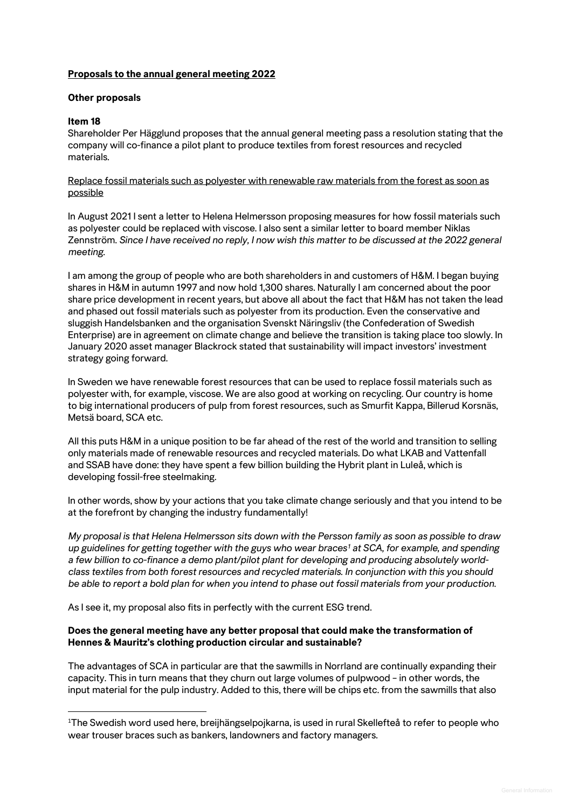# **Proposals to the annual general meeting 2022**

### **Other proposals**

# **Item 18**

Shareholder Per Hägglund proposes that the annual general meeting pass a resolution stating that the company will co-finance a pilot plant to produce textiles from forest resources and recycled materials.

### Replace fossil materials such as polyester with renewable raw materials from the forest as soon as possible

In August 2021 I sent a letter to Helena Helmersson proposing measures for how fossil materials such as polyester could be replaced with viscose. I also sent a similar letter to board member Niklas Zennström. *Since I have received no reply, I now wish this matter to be discussed at the 2022 general meeting.*

I am among the group of people who are both shareholders in and customers of H&M. I began buying shares in H&M in autumn 1997 and now hold 1,300 shares. Naturally I am concerned about the poor share price development in recent years, but above all about the fact that H&M has not taken the lead and phased out fossil materials such as polyester from its production. Even the conservative and sluggish Handelsbanken and the organisation Svenskt Näringsliv (the Confederation of Swedish Enterprise) are in agreement on climate change and believe the transition is taking place too slowly. In January 2020 asset manager Blackrock stated that sustainability will impact investors' investment strategy going forward.

In Sweden we have renewable forest resources that can be used to replace fossil materials such as polyester with, for example, viscose. We are also good at working on recycling. Our country is home to big international producers of pulp from forest resources, such as Smurfit Kappa, Billerud Korsnäs, Metsä board, SCA etc.

All this puts H&M in a unique position to be far ahead of the rest of the world and transition to selling only materials made of renewable resources and recycled materials. Do what LKAB and Vattenfall and SSAB have done: they have spent a few billion building the Hybrit plant in Luleå, which is developing fossil-free steelmaking.

In other words, show by your actions that you take climate change seriously and that you intend to be at the forefront by changing the industry fundamentally!

*My proposal is that Helena Helmersson sits down with the Persson family as soon as possible to draw up guidelines for getting together with the guys who wear braces[1](#page-0-0) at SCA, for example, and spending a few billion to co-finance a demo plant/pilot plant for developing and producing absolutely worldclass textiles from both forest resources and recycled materials. In conjunction with this you should be able to report a bold plan for when you intend to phase out fossil materials from your production.*

As I see it, my proposal also fits in perfectly with the current ESG trend.

# **Does the general meeting have any better proposal that could make the transformation of Hennes & Mauritz's clothing production circular and sustainable?**

The advantages of SCA in particular are that the sawmills in Norrland are continually expanding their capacity. This in turn means that they churn out large volumes of pulpwood – in other words, the input material for the pulp industry. Added to this, there will be chips etc. from the sawmills that also

<span id="page-0-0"></span><sup>1</sup> The Swedish word used here, breijhängselpojkarna, is used in rural Skellefteå to refer to people who wear trouser braces such as bankers, landowners and factory managers.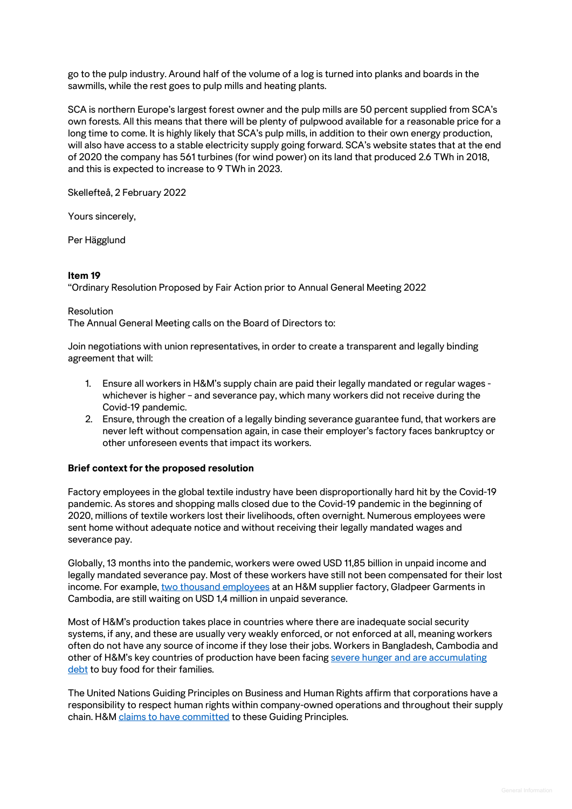go to the pulp industry. Around half of the volume of a log is turned into planks and boards in the sawmills, while the rest goes to pulp mills and heating plants.

SCA is northern Europe's largest forest owner and the pulp mills are 50 percent supplied from SCA's own forests. All this means that there will be plenty of pulpwood available for a reasonable price for a long time to come. It is highly likely that SCA's pulp mills, in addition to their own energy production, will also have access to a stable electricity supply going forward. SCA's website states that at the end of 2020 the company has 561 turbines (for wind power) on its land that produced 2.6 TWh in 2018, and this is expected to increase to 9 TWh in 2023.

Skellefteå, 2 February 2022

Yours sincerely,

Per Hägglund

### **Item 19**

"Ordinary Resolution Proposed by Fair Action prior to Annual General Meeting 2022

#### **Resolution**

The Annual General Meeting calls on the Board of Directors to:

Join negotiations with union representatives, in order to create a transparent and legally binding agreement that will:

- 1. Ensure all workers in H&M's supply chain are paid their legally mandated or regular wages whichever is higher – and severance pay, which many workers did not receive during the Covid-19 pandemic.
- 2. Ensure, through the creation of a legally binding severance guarantee fund, that workers are never left without compensation again, in case their employer's factory faces bankruptcy or other unforeseen events that impact its workers.

# **Brief context for the proposed resolution**

Factory employees in the global textile industry have been disproportionally hard hit by the Covid-19 pandemic. As stores and shopping malls closed due to the Covid-19 pandemic in the beginning of 2020, millions of textile workers lost their livelihoods, often overnight. Numerous employees were sent home without adequate notice and without receiving their legally mandated wages and severance pay.

Globally, 13 months into the pandemic, workers were owed USD 11,85 billion in unpaid income and legally mandated severance pay. Most of these workers have still not been compensated for their lost income. For example, [two thousand employees](https://www.workersrights.org/wp-content/uploads/2021/04/Fired-Then-Robbed.pdf) at an H&M supplier factory, Gladpeer Garments in Cambodia, are still waiting on USD 1,4 million in unpaid severance.

Most of H&M's production takes place in countries where there are inadequate social security systems, if any, and these are usually very weakly enforced, or not enforced at all, meaning workers often do not have any source of income if they lose their jobs. Workers in Bangladesh, Cambodia and other of H&M's key countries of production have been facin[g severe hunger and are accumulating](https://cleanclothes.org/file-repository/ccc-still-underpaid-report-2021-web-def.pdf/view)  [debt](https://cleanclothes.org/file-repository/ccc-still-underpaid-report-2021-web-def.pdf/view) to buy food for their families.

The United Nations Guiding Principles on Business and Human Rights affirm that corporations have a responsibility to respect human rights within company-owned operations and throughout their supply chain. H&M [claims to have committed](https://www2.hm.com/en_in/sustainability-at-hm/our-work/fair.html) to these Guiding Principles.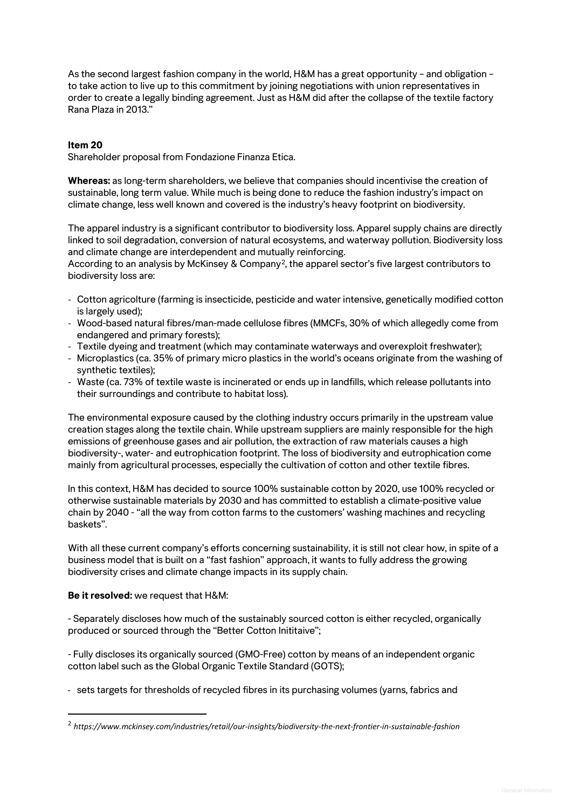As the second largest fashion company in the world, H&M has a great opportunity – and obligation – to take action to live up to this commitment by joining negotiations with union representatives in order to create a legally binding agreement. Just as H&M did after the collapse of the textile factory Rana Plaza in 2013."

### **Item 20**

Shareholder proposal from Fondazione Finanza Etica.

**Whereas:** as long-term shareholders, we believe that companies should incentivise the creation of sustainable, long term value. While much is being done to reduce the fashion industry's impact on climate change, less well known and covered is the industry's heavy footprint on biodiversity.

The apparel industry is a significant contributor to biodiversity loss. Apparel supply chains are directly linked to soil degradation, conversion of natural ecosystems, and waterway pollution. Biodiversity loss and climate change are interdependent and mutually reinforcing.

According to an analysis by McKinsey & Company[2,](#page-2-0) the apparel sector's five largest contributors to biodiversity loss are:

- Cotton agricolture (farming is insecticide, pesticide and water intensive, genetically modified cotton is largely used);
- Wood-based natural fibres/man-made cellulose fibres (MMCFs, 30% of which allegedly come from endangered and primary forests);
- Textile dyeing and treatment (which may contaminate waterways and overexploit freshwater);
- Microplastics (ca. 35% of primary micro plastics in the world's oceans originate from the washing of synthetic textiles);
- Waste (ca. 73% of textile waste is incinerated or ends up in landfills, which release pollutants into their surroundings and contribute to habitat loss).

The environmental exposure caused by the clothing industry occurs primarily in the upstream value creation stages along the textile chain. While upstream suppliers are mainly responsible for the high emissions of greenhouse gases and air pollution, the extraction of raw materials causes a high biodiversity-, water- and eutrophication footprint. The loss of biodiversity and eutrophication come mainly from agricultural processes, especially the cultivation of cotton and other textile fibres.

In this context, H&M has decided to source 100% sustainable cotton by 2020, use 100% recycled or otherwise sustainable materials by 2030 and has committed to establish a climate-positive value chain by 2040 - "all the way from cotton farms to the customers' washing machines and recycling baskets".

With all these current company's efforts concerning sustainability, it is still not clear how, in spite of a business model that is built on a "fast fashion" approach, it wants to fully address the growing biodiversity crises and climate change impacts in its supply chain.

**Be it resolved:** we request that H&M:

- Separately discloses how much of the sustainably sourced cotton is either recycled, organically produced or sourced through the "Better Cotton Inititaive";

- Fully discloses its organically sourced (GMO-Free) cotton by means of an independent organic cotton label such as the Global Organic Textile Standard (GOTS);

- sets targets for thresholds of recycled fibres in its purchasing volumes (yarns, fabrics and

<span id="page-2-0"></span><sup>2</sup> *https://www.mckinsey.com/industries/retail/our-insights/biodiversity-the-next-frontier-in-sustainable-fashion*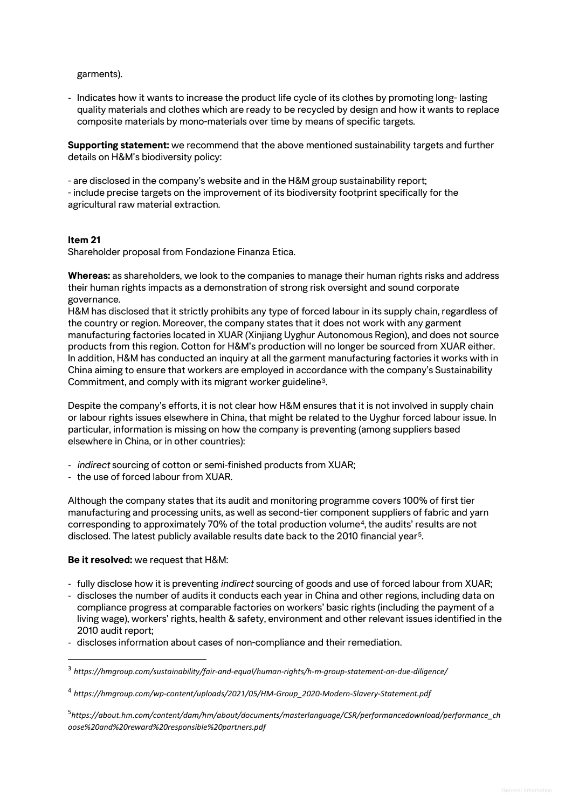garments).

- Indicates how it wants to increase the product life cycle of its clothes by promoting long- lasting quality materials and clothes which are ready to be recycled by design and how it wants to replace composite materials by mono-materials over time by means of specific targets.

**Supporting statement:** we recommend that the above mentioned sustainability targets and further details on H&M's biodiversity policy:

- are disclosed in the company's website and in the H&M group sustainability report;

- include precise targets on the improvement of its biodiversity footprint specifically for the agricultural raw material extraction.

#### **Item 21**

Shareholder proposal from Fondazione Finanza Etica.

**Whereas:** as shareholders, we look to the companies to manage their human rights risks and address their human rights impacts as a demonstration of strong risk oversight and sound corporate governance.

H&M has disclosed that it strictly prohibits any type of forced labour in its supply chain, regardless of the country or region. Moreover, the company states that it does not work with any garment manufacturing factories located in XUAR (Xinjiang Uyghur Autonomous Region), and does not source products from this region. Cotton for H&M's production will no longer be sourced from XUAR either. In addition, H&M has conducted an inquiry at all the garment manufacturing factories it works with in China aiming to ensure that workers are employed in accordance with the company's Sustainability Commitment, and comply with its migrant worker guideline[3](#page-3-0).

Despite the company's efforts, it is not clear how H&M ensures that it is not involved in supply chain or labour rights issues elsewhere in China, that might be related to the Uyghur forced labour issue. In particular, information is missing on how the company is preventing (among suppliers based elsewhere in China, or in other countries):

- *indirect* sourcing of cotton or semi-finished products from XUAR;
- the use of forced labour from XUAR.

Although the company states that its audit and monitoring programme covers 100% of first tier manufacturing and processing units, as well as second-tier component suppliers of fabric and yarn corresponding to approximately 70% of the total production volume<sup>[4](#page-3-1)</sup>, the audits' results are not disclosed. The latest publicly available results date back to the 2010 financial year[5](#page-3-2).

#### **Be it resolved:** we request that H&M:

- fully disclose how it is preventing *indirect* sourcing of goods and use of forced labour from XUAR;
- discloses the number of audits it conducts each year in China and other regions, including data on compliance progress at comparable factories on workers' basic rights (including the payment of a living wage), workers' rights, health & safety, environment and other relevant issues identified in the 2010 audit report;
- discloses information about cases of non-compliance and their remediation.

<span id="page-3-0"></span><sup>3</sup> *https://hmgroup.com/sustainability/fair-and-equal/human-rights/h-m-group-statement-on-due-diligence/*

<span id="page-3-1"></span><sup>4</sup> *https://hmgroup.com/wp-content/uploads/2021/05/HM-Group\_2020-Modern-Slavery-Statement.pdf*

<span id="page-3-2"></span><sup>5</sup> *https://about.hm.com/content/dam/hm/about/documents/masterlanguage/CSR/performancedownload/performance\_ch oose%20and%20reward%20responsible%20partners.pdf*